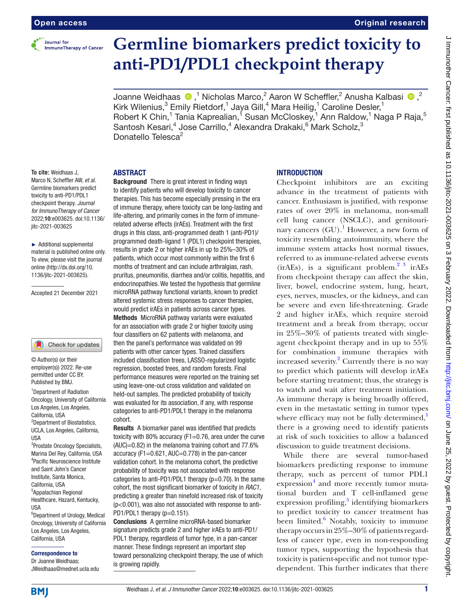

# **Germline biomarkers predict toxicity to anti-PD1/PDL1 checkpoint therapy**

JoanneWeidhaas  $\bigcirc$  ,<sup>1</sup> Nicholas Marco,<sup>2</sup> Aaron W Scheffler,<sup>2</sup> Anusha Kalbasi  $\bigcirc$ ,<sup>2</sup> Kirk Wilenius,<sup>3</sup> Emily Rietdorf,<sup>1</sup> Jaya Gill,<sup>4</sup> Mara Heilig,<sup>1</sup> Caroline Desler,<sup>1</sup> Robert K Chin,<sup>1</sup> Tania Kaprealian,<sup>1</sup> Susan McCloskey,<sup>1</sup> Ann Raldow,<sup>1</sup> Naga P Raja,<sup>5</sup> Santosh Kesari,<sup>4</sup> Jose Carrillo,<sup>4</sup> Alexandra Drakaki,<sup>6</sup> Mark Scholz,<sup>3</sup> Donatello Telesca2

#### ABSTRACT

**To cite:** Weidhaas J, Marco N, Scheffler AW, *et al*. Germline biomarkers predict toxicity to anti-PD1/PDL1 checkpoint therapy. *Journal for ImmunoTherapy of Cancer* 2022;10:e003625. doi:10.1136/ jitc-2021-003625

► Additional supplemental material is published online only. To view, please visit the journal online [\(http://dx.doi.org/10.](http://dx.doi.org/10.1136/jitc-2021-003625) [1136/jitc-2021-003625\)](http://dx.doi.org/10.1136/jitc-2021-003625).

Accepted 21 December 2021



© Author(s) (or their employer(s)) 2022. Re-use permitted under CC BY. Published by BMJ.

<sup>1</sup>Department of Radiation Oncology, University of California Los Angeles, Los Angeles, California, USA <sup>2</sup>Department of Biostatistics, UCLA, Los Angeles, California,

USA <sup>3</sup>Prostate Oncology Specialists, Marina Del Rey, California, USA 4 Pacific Neuroscience Institute

and Saint John's Cancer Institute, Santa Monica, California, USA 5 Appalachian Regional Healthcare, Hazard, Kentucky, USA

6 Department of Urology, Medical Oncology, University of California Los Angeles, Los Angeles, California, USA

#### Correspondence to

Dr Joanne Weidhaas; JWeidhaas@mednet.ucla.edu

Background There is great interest in finding ways to identify patients who will develop toxicity to cancer therapies. This has become especially pressing in the era of immune therapy, where toxicity can be long-lasting and life-altering, and primarily comes in the form of immunerelated adverse effects (irAEs). Treatment with the first drugs in this class, anti-programmed death 1 (anti-PD1)/ programmed death-ligand 1 (PDL1) checkpoint therapies, results in grade 2 or higher irAEs in up to 25%–30% of patients, which occur most commonly within the first 6 months of treatment and can include arthralgias, rash, pruritus, pneumonitis, diarrhea and/or colitis, hepatitis, and endocrinopathies. We tested the hypothesis that germline microRNA pathway functional variants, known to predict altered systemic stress responses to cancer therapies, would predict irAEs in patients across cancer types. Methods MicroRNA pathway variants were evaluated for an association with grade 2 or higher toxicity using four classifiers on 62 patients with melanoma, and then the panel's performance was validated on 99 patients with other cancer types. Trained classifiers included classification trees, LASSO-regularized logistic regression, boosted trees, and random forests. Final performance measures were reported on the training set using leave-one-out cross validation and validated on held-out samples. The predicted probability of toxicity was evaluated for its association, if any, with response categories to anti-PD1/PDL1 therapy in the melanoma cohort.

Results A biomarker panel was identified that predicts toxicity with 80% accuracy (F1=0.76, area under the curve (AUC)=0.82) in the melanoma training cohort and 77.6% accuracy (F1=0.621, AUC=0.778) in the pan-cancer validation cohort. In the melanoma cohort, the predictive probability of toxicity was not associated with response categories to anti-PD1/PDL1 therapy  $(p=0.70)$ . In the same cohort, the most significant biomarker of toxicity in *RAC1*, predicting a greater than ninefold increased risk of toxicity (p<0.001), was also not associated with response to anti-PD1/PDL1 therapy (p=0.151).

Conclusions A germline microRNA-based biomarker signature predicts grade 2 and higher irAEs to anti-PD1/ PDL1 therapy, regardless of tumor type, in a pan-cancer manner. These findings represent an important step toward personalizing checkpoint therapy, the use of which is growing rapidly.

## **INTRODUCTION**

Checkpoint inhibitors are an exciting advance in the treatment of patients with cancer. Enthusiasm is justified, with response rates of over 20% in melanoma, non-small cell lung cancer (NSCLC), and genitourinary cancers  $(GU)$ .<sup>1</sup> However, a new form of toxicity resembling autoimmunity, where the immune system attacks host normal tissues, referred to as immune-related adverse events  $(irAEs)$ , is a significant problem.<sup>[2 3](#page-6-1)</sup> ir $AEs$ from checkpoint therapy can affect the skin, liver, bowel, endocrine system, lung, heart, eyes, nerves, muscles, or the kidneys, and can be severe and even life-threatening. Grade 2 and higher irAEs, which require steroid treatment and a break from therapy, occur in 25%–30% of patients treated with singleagent checkpoint therapy and in up to 55% for combination immune therapies with increased severity. [2](#page-6-1) Currently there is no way to predict which patients will develop irAEs before starting treatment; thus, the strategy is to watch and wait after treatment initiation. As immune therapy is being broadly offered, even in the metastatic setting in tumor types where efficacy may not be fully determined, $\frac{1}{1}$ there is a growing need to identify patients at risk of such toxicities to allow a balanced discussion to guide treatment decisions.

While there are several tumor-based biomarkers predicting response to immune therapy, such as percent of tumor PDL1 expression<sup>[4](#page-6-2)</sup> and more recently tumor mutational burden and T cell-inflamed gene expression profiling,<sup>[5](#page-6-3)</sup> identifying biomarkers to predict toxicity to cancer treatment has been limited.<sup>[6](#page-6-4)</sup> Notably, toxicity to immune therapy occurs in 25%–30% of patients regardless of cancer type, even in non-responding tumor types, supporting the hypothesis that toxicity is patient-specific and not tumor typedependent. This further indicates that there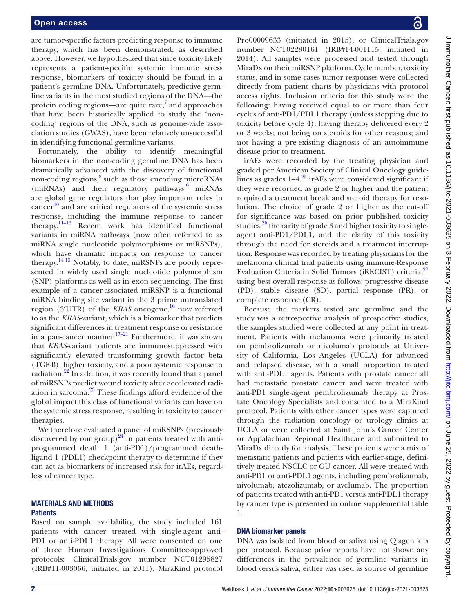are tumor-specific factors predicting response to immune therapy, which has been demonstrated, as described above. However, we hypothesized that since toxicity likely represents a patient-specific systemic immune stress response, biomarkers of toxicity should be found in a patient's germline DNA. Unfortunately, predictive germline variants in the most studied regions of the DNA—the protein coding regions—are quite rare,<sup>[7](#page-6-5)</sup> and approaches that have been historically applied to study the 'noncoding' regions of the DNA, such as genome-wide association studies (GWAS), have been relatively unsuccessful in identifying functional germline variants.

Fortunately, the ability to identify meaningful biomarkers in the non-coding germline DNA has been dramatically advanced with the discovery of functional non-coding regions,<sup>8</sup> such as those encoding microRNAs (miRNAs) and their regulatory pathways.<sup>9</sup> miRNAs are global gene regulators that play important roles in cancer<sup>[10](#page-6-8)</sup> and are critical regulators of the systemic stress response, including the immune response to cancer therapy[.11–13](#page-6-9) Recent work has identified functional variants in miRNA pathways (now often referred to as miRNA single nucleotide polymorphisms or miRSNPs), which have dramatic impacts on response to cancer therapy[.14 15](#page-6-10) Notably, to date, miRSNPs are poorly represented in widely used single nucleotide polymorphism (SNP) platforms as well as in exon sequencing. The first example of a cancer-associated miRSNP is a functional miRNA binding site variant in the 3 prime untranslated region (3′UTR) of the *KRAS* oncogene, [16](#page-6-11) now referred to as the *KRAS*-variant, which is a biomarker that predicts significant differences in treatment response or resistance in a pan-cancer manner.<sup>17-21</sup> Furthermore, it was shown that *KRAS*-variant patients are immunosuppressed with significantly elevated transforming growth factor beta (TGF-ß), higher toxicity, and a poor systemic response to radiation.<sup>22</sup> In addition, it was recently found that a panel of miRSNPs predict wound toxicity after accelerated radiation in sarcoma.[23](#page-7-1) These findings afford evidence of the global impact this class of functional variants can have on the systemic stress response, resulting in toxicity to cancer therapies.

We therefore evaluated a panel of miRSNPs (previously discovered by our group) $^{24}$  in patients treated with antiprogrammed death 1 (anti-PD1)/programmed deathligand 1 (PDL1) checkpoint therapy to determine if they can act as biomarkers of increased risk for irAEs, regardless of cancer type.

#### MATERIALS AND METHODS **Patients**

Based on sample availability, the study included 161 patients with cancer treated with single-agent anti-PD1 or anti-PDL1 therapy. All were consented on one of three Human Investigations Committee-approved protocols: ClinicalTrials.gov number [NCT01295827](https://clinicaltrials.gov/ct2/show/NCT01295827) (IRB#11-003066, initiated in 2011), MiraKind protocol

Pro00009633 (initiated in 2015), or ClinicalTrials.gov number NCT02280161 (IRB#14-001115, initiated in 2014). All samples were processed and tested through MiraDx on their miRSNP platform. Cycle number, toxicity status, and in some cases tumor responses were collected directly from patient charts by physicians with protocol access rights. Inclusion criteria for this study were the following: having received equal to or more than four cycles of anti-PD1/PDL1 therapy (unless stopping due to toxicity before cycle 4); having therapy delivered every 2 or 3 weeks; not being on steroids for other reasons; and not having a pre-existing diagnosis of an autoimmune disease prior to treatment.

irAEs were recorded by the treating physician and graded per American Society of Clinical Oncology guidelines as grades  $1-4$ <sup>[25](#page-7-3)</sup> irAEs were considered significant if they were recorded as grade 2 or higher and the patient required a treatment break and steroid therapy for resolution. The choice of grade 2 or higher as the cut-off for significance was based on prior published toxicity studies, $^{26}$  the rarity of grade 3 and higher toxicity to singleagent anti-PD1/PDL1, and the clarity of this toxicity through the need for steroids and a treatment interruption. Response was recorded by treating physicians for the melanoma clinical trial patients using immune-Response Evaluation Criteria in Solid Tumors (iRECIST) criteria,<sup>[27](#page-7-5)</sup> using best overall response as follows: progressive disease (PD), stable disease (SD), partial response (PR), or complete response (CR).

Because the markers tested are germline and the study was a retrospective analysis of prospective studies, the samples studied were collected at any point in treatment. Patients with melanoma were primarily treated on pembrolizumab or nivolumab protocols at University of California, Los Angeles (UCLA) for advanced and relapsed disease, with a small proportion treated with anti-PDL1 agents. Patients with prostate cancer all had metastatic prostate cancer and were treated with anti-PD1 single-agent pembrolizumab therapy at Prostate Oncology Specialists and consented to a MiraKind protocol. Patients with other cancer types were captured through the radiation oncology or urology clinics at UCLA or were collected at Saint John's Cancer Center or Appalachian Regional Healthcare and submitted to MiraDx directly for analysis. These patients were a mix of metastatic patients and patients with earlier-stage, definitively treated NSCLC or GU cancer. All were treated with anti-PD1 or anti-PDL1 agents, including pembrolizumab, nivolumab, atezolizumab, or avelumab. The proportion of patients treated with anti-PD1 versus anti-PDL1 therapy by cancer type is presented in [online supplemental table](https://dx.doi.org/10.1136/jitc-2021-003625)  [1](https://dx.doi.org/10.1136/jitc-2021-003625).

#### DNA biomarker panels

DNA was isolated from blood or saliva using Qiagen kits per protocol. Because prior reports have not shown any differences in the prevalence of germline variants in blood versus saliva, either was used as source of germline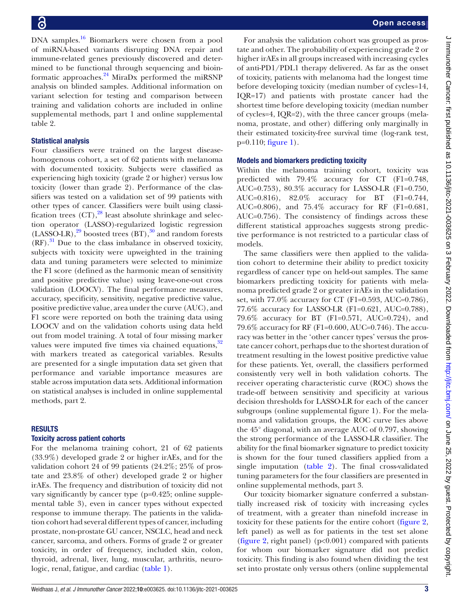DNA samples.<sup>16</sup> Biomarkers were chosen from a pool of miRNA-based variants disrupting DNA repair and immune-related genes previously discovered and determined to be functional through sequencing and bioinformatic approaches.[24](#page-7-2) MiraDx performed the miRSNP analysis on blinded samples. Additional information on variant selection for testing and comparison between training and validation cohorts are included in [online](https://dx.doi.org/10.1136/jitc-2021-003625) [supplemental methods, part 1](https://dx.doi.org/10.1136/jitc-2021-003625) and [online supplemental](https://dx.doi.org/10.1136/jitc-2021-003625) [table 2.](https://dx.doi.org/10.1136/jitc-2021-003625)

## Statistical analysis

Four classifiers were trained on the largest diseasehomogenous cohort, a set of 62 patients with melanoma with documented toxicity. Subjects were classified as experiencing high toxicity (grade 2 or higher) versus low toxicity (lower than grade 2). Performance of the classifiers was tested on a validation set of 99 patients with other types of cancer. Classifiers were built using classification trees  $(CT)$ ,<sup>28</sup> least absolute shrinkage and selection operator (LASSO)-regularized logistic regression  $(LASSO-LR),<sup>29</sup>$  boosted trees  $(BT),<sup>30</sup>$  and random forests  $(RF)$ .<sup>31</sup> Due to the class imbalance in observed toxicity, subjects with toxicity were upweighted in the training data and tuning parameters were selected to minimize the F1 score (defined as the harmonic mean of sensitivity and positive predictive value) using leave-one-out cross validation (LOOCV). The final performance measures, accuracy, specificity, sensitivity, negative predictive value, positive predictive value, area under the curve (AUC), and F1 score were reported on both the training data using LOOCV and on the validation cohorts using data held out from model training. A total of four missing marker values were imputed five times via chained equations, $32$ with markers treated as categorical variables. Results are presented for a single imputation data set given that performance and variable importance measures are stable across imputation data sets. Additional information on statistical analyses is included in [online supplemental](https://dx.doi.org/10.1136/jitc-2021-003625) [methods, part 2](https://dx.doi.org/10.1136/jitc-2021-003625).

## RESULTS

## Toxicity across patient cohorts

For the melanoma training cohort, 21 of 62 patients (33.9%) developed grade 2 or higher irAEs, and for the validation cohort 24 of 99 patients (24.2%; 25% of prostate and 23.8% of other) developed grade 2 or higher irAEs. The frequency and distribution of toxicity did not vary significantly by cancer type (p=0.425; [online supple](https://dx.doi.org/10.1136/jitc-2021-003625)[mental table 3](https://dx.doi.org/10.1136/jitc-2021-003625)), even in cancer types without expected response to immune therapy. The patients in the validation cohort had several different types of cancer, including prostate, non-prostate GU cancer, NSCLC, head and neck cancer, sarcoma, and others. Forms of grade 2 or greater toxicity, in order of frequency, included skin, colon, thyroid, adrenal, liver, lung, muscular, arthritis, neurologic, renal, fatigue, and cardiac [\(table](#page-3-0) 1).

For analysis the validation cohort was grouped as prostate and other. The probability of experiencing grade 2 or higher irAEs in all groups increased with increasing cycles of anti-PD1/PDL1 therapy delivered. As far as the onset of toxicity, patients with melanoma had the longest time before developing toxicity (median number of cycles=14, IQR=17) and patients with prostate cancer had the shortest time before developing toxicity (median number of cycles=4, IQR=2), with the three cancer groups (melanoma, prostate, and other) differing only marginally in their estimated toxicity-free survival time (log-rank test,  $p=0.110$ ; [figure](#page-4-0) 1).

# Models and biomarkers predicting toxicity

Within the melanoma training cohort, toxicity was predicted with 79.4% accuracy for CT (F1=0.748, AUC=0.753), 80.3% accuracy for LASSO-LR (F1=0.750, AUC=0.816), 82.0% accuracy for BT (F1=0.744, AUC=0.806), and 75.4% accuracy for RF (F1=0.681, AUC=0.756). The consistency of findings across these different statistical approaches suggests strong predictive performance is not restricted to a particular class of models.

The same classifiers were then applied to the validation cohort to determine their ability to predict toxicity regardless of cancer type on held-out samples. The same biomarkers predicting toxicity for patients with melanoma predicted grade 2 or greater irAEs in the validation set, with 77.0% accuracy for CT (F1=0.593, AUC=0.786), 77.6% accuracy for LASSO-LR (F1=0.621, AUC=0.788), 79.6% accuracy for BT (F1=0.571, AUC=0.724), and 79.6% accuracy for RF (F1=0.600, AUC=0.746). The accuracy was better in the 'other cancer types' versus the prostate cancer cohort, perhaps due to the shortest duration of treatment resulting in the lowest positive predictive value for these patients. Yet, overall, the classifiers performed consistently very well in both validation cohorts. The receiver operating characteristic curve (ROC) shows the trade-off between sensitivity and specificity at various decision thresholds for LASSO-LR for each of the cancer subgroups [\(online supplemental figure 1](https://dx.doi.org/10.1136/jitc-2021-003625)). For the melanoma and validation groups, the ROC curve lies above the 45° diagonal, with an average AUC of 0.797, showing the strong performance of the LASSO-LR classifier. The ability for the final biomarker signature to predict toxicity is shown for the four tuned classifiers applied from a single imputation [\(table](#page-4-1) 2). The final cross-validated tuning parameters for the four classifiers are presented in [online supplemental methods, part 3](https://dx.doi.org/10.1136/jitc-2021-003625).

Our toxicity biomarker signature conferred a substantially increased risk of toxicity with increasing cycles of treatment, with a greater than ninefold increase in toxicity for these patients for the entire cohort [\(figure](#page-5-0) 2, left panel) as well as for patients in the test set alone [\(figure](#page-5-0) 2, right panel) ( $p<0.001$ ) compared with patients for whom our biomarker signature did not predict toxicity. This finding is also found when dividing the test set into prostate only versus others ([online supplemental](https://dx.doi.org/10.1136/jitc-2021-003625)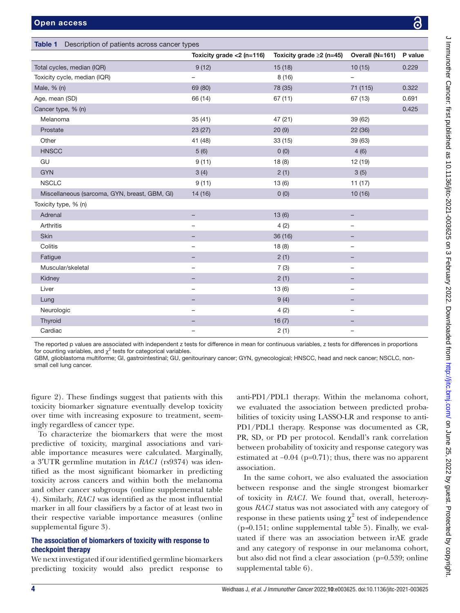<span id="page-3-0"></span>

|                                               | Toxicity grade $<$ 2 (n=116) | Toxicity grade $\geq 2$ (n=45) | Overall (N=161)          | P value |
|-----------------------------------------------|------------------------------|--------------------------------|--------------------------|---------|
| Total cycles, median (IQR)                    | 9(12)                        | 15 (18)                        | 10(15)                   | 0.229   |
| Toxicity cycle, median (IQR)                  |                              | 8(16)                          |                          |         |
| Male, % (n)                                   | 69 (80)                      | 78 (35)                        | 71 (115)                 | 0.322   |
| Age, mean (SD)                                | 66 (14)                      | 67(11)                         | 67 (13)                  | 0.691   |
| Cancer type, % (n)                            |                              |                                |                          | 0.425   |
| Melanoma                                      | 35(41)                       | 47 (21)                        | 39 (62)                  |         |
| Prostate                                      | 23 (27)                      | 20(9)                          | 22 (36)                  |         |
| Other                                         | 41 (48)                      | 33(15)                         | 39 (63)                  |         |
| <b>HNSCC</b>                                  | 5(6)                         | 0(0)                           | 4(6)                     |         |
| GU                                            | 9(11)                        | 18(8)                          | 12 (19)                  |         |
| <b>GYN</b>                                    | 3(4)                         | 2(1)                           | 3(5)                     |         |
| <b>NSCLC</b>                                  | 9(11)                        | 13(6)                          | 11(17)                   |         |
| Miscellaneous (sarcoma, GYN, breast, GBM, GI) | 14 (16)                      | 0(0)                           | 10(16)                   |         |
| Toxicity type, % (n)                          |                              |                                |                          |         |
| Adrenal                                       |                              | 13(6)                          |                          |         |
| Arthritis                                     | -                            | 4(2)                           | $\qquad \qquad -$        |         |
| Skin                                          |                              | 36 (16)                        |                          |         |
| Colitis                                       | -                            | 18(8)                          |                          |         |
| Fatigue                                       |                              | 2(1)                           |                          |         |
| Muscular/skeletal                             | $\overline{\phantom{0}}$     | 7(3)                           | $\qquad \qquad -$        |         |
| Kidney                                        |                              | 2(1)                           |                          |         |
| Liver                                         | -                            | 13(6)                          | $\overline{\phantom{0}}$ |         |
| Lung                                          |                              | 9(4)                           |                          |         |
| Neurologic                                    | $\overline{\phantom{0}}$     | 4(2)                           | $\qquad \qquad -$        |         |
| Thyroid                                       |                              | 16(7)                          |                          |         |
| Cardiac                                       | $\overline{\phantom{0}}$     | 2(1)                           |                          |         |

GBM, glioblastoma multiforme; GI, gastrointestinal; GU, genitourinary cancer; GYN, gynecological; HNSCC, head and neck cancer; NSCLC, nonsmall cell lung cancer.

[figure 2\)](https://dx.doi.org/10.1136/jitc-2021-003625). These findings suggest that patients with this toxicity biomarker signature eventually develop toxicity over time with increasing exposure to treatment, seemingly regardless of cancer type.

To characterize the biomarkers that were the most predictive of toxicity, marginal associations and variable importance measures were calculated. Marginally, a 3′UTR germline mutation in *RAC1* (rs9374) was identified as the most significant biomarker in predicting toxicity across cancers and within both the melanoma and other cancer subgroups ([online supplemental table](https://dx.doi.org/10.1136/jitc-2021-003625) [4\)](https://dx.doi.org/10.1136/jitc-2021-003625). Similarly, *RAC1* was identified as the most influential marker in all four classifiers by a factor of at least two in their respective variable importance measures [\(online](https://dx.doi.org/10.1136/jitc-2021-003625) [supplemental figure 3](https://dx.doi.org/10.1136/jitc-2021-003625)).

# The association of biomarkers of toxicity with response to checkpoint therapy

We next investigated if our identified germline biomarkers predicting toxicity would also predict response to

anti-PD1/PDL1 therapy. Within the melanoma cohort, we evaluated the association between predicted probabilities of toxicity using LASSO-LR and response to anti-PD1/PDL1 therapy. Response was documented as CR, PR, SD, or PD per protocol. Kendall's rank correlation between probability of toxicity and response category was estimated at −0.04 (p=0.71); thus, there was no apparent association.

In the same cohort, we also evaluated the association between response and the single strongest biomarker of toxicity in *RAC1*. We found that, overall, heterozygous *RAC1* status was not associated with any category of response in these patients using  $\chi^2$  test of independence (p*=*0.151; [online supplemental table 5](https://dx.doi.org/10.1136/jitc-2021-003625)). Finally, we evaluated if there was an association between irAE grade and any category of response in our melanoma cohort, but also did not find a clear association (p=0.539; [online](https://dx.doi.org/10.1136/jitc-2021-003625)  [supplemental table 6\)](https://dx.doi.org/10.1136/jitc-2021-003625).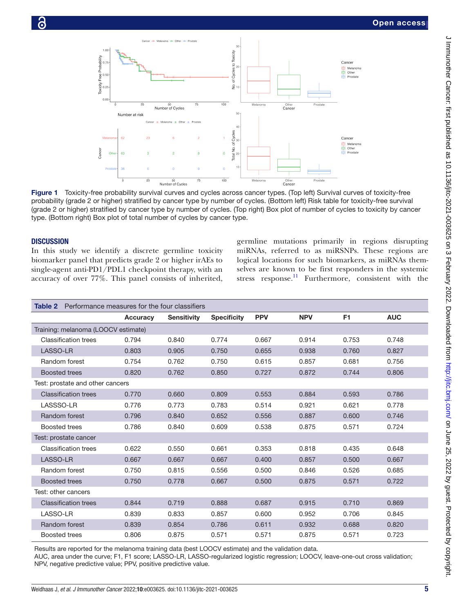

Figure 1 Toxicity-free probability survival curves and cycles across cancer types. (Top left) Survival curves of toxicity-free probability (grade 2 or higher) stratified by cancer type by number of cycles. (Bottom left) Risk table for toxicity-free survival (grade 2 or higher) stratified by cancer type by number of cycles. (Top right) Box plot of number of cycles to toxicity by cancer type. (Bottom right) Box plot of total number of cycles by cancer type.

#### **DISCUSSION**

In this study we identify a discrete germline toxicity biomarker panel that predicts grade 2 or higher irAEs to single-agent anti-PD1/PDL1 checkpoint therapy, with an accuracy of over 77%. This panel consists of inherited,

<span id="page-4-0"></span>germline mutations primarily in regions disrupting miRNAs, referred to as miRSNPs. These regions are logical locations for such biomarkers, as miRNAs themselves are known to be first responders in the systemic stress response.<sup>11</sup> Furthermore, consistent with the

<span id="page-4-1"></span>

| <b>Table 2</b> Performance measures for the four classifiers |                 |                    |                    |            |            |                |            |  |  |  |  |
|--------------------------------------------------------------|-----------------|--------------------|--------------------|------------|------------|----------------|------------|--|--|--|--|
|                                                              | <b>Accuracy</b> | <b>Sensitivity</b> | <b>Specificity</b> | <b>PPV</b> | <b>NPV</b> | F <sub>1</sub> | <b>AUC</b> |  |  |  |  |
| Training: melanoma (LOOCV estimate)                          |                 |                    |                    |            |            |                |            |  |  |  |  |
| <b>Classification trees</b>                                  | 0.794           | 0.840              | 0.774              | 0.667      | 0.914      | 0.753          | 0.748      |  |  |  |  |
| LASSO-LR                                                     | 0.803           | 0.905              | 0.750              | 0.655      | 0.938      | 0.760          | 0.827      |  |  |  |  |
| Random forest                                                | 0.754           | 0.762              | 0.750              | 0.615      | 0.857      | 0.681          | 0.756      |  |  |  |  |
| <b>Boosted trees</b>                                         | 0.820           | 0.762              | 0.850              | 0.727      | 0.872      | 0.744          | 0.806      |  |  |  |  |
| Test: prostate and other cancers                             |                 |                    |                    |            |            |                |            |  |  |  |  |
| <b>Classification trees</b>                                  | 0.770           | 0.660              | 0.809              | 0.553      | 0.884      | 0.593          | 0.786      |  |  |  |  |
| LASSSO-LR                                                    | 0.776           | 0.773              | 0.783              | 0.514      | 0.921      | 0.621          | 0.778      |  |  |  |  |
| Random forest                                                | 0.796           | 0.840              | 0.652              | 0.556      | 0.887      | 0.600          | 0.746      |  |  |  |  |
| Boosted trees                                                | 0.786           | 0.840              | 0.609              | 0.538      | 0.875      | 0.571          | 0.724      |  |  |  |  |
| Test: prostate cancer                                        |                 |                    |                    |            |            |                |            |  |  |  |  |
| <b>Classification trees</b>                                  | 0.622           | 0.550              | 0.661              | 0.353      | 0.818      | 0.435          | 0.648      |  |  |  |  |
| <b>LASSO-LR</b>                                              | 0.667           | 0.667              | 0.667              | 0.400      | 0.857      | 0.500          | 0.667      |  |  |  |  |
| Random forest                                                | 0.750           | 0.815              | 0.556              | 0.500      | 0.846      | 0.526          | 0.685      |  |  |  |  |
| <b>Boosted trees</b>                                         | 0.750           | 0.778              | 0.667              | 0.500      | 0.875      | 0.571          | 0.722      |  |  |  |  |
| Test: other cancers                                          |                 |                    |                    |            |            |                |            |  |  |  |  |
| <b>Classification trees</b>                                  | 0.844           | 0.719              | 0.888              | 0.687      | 0.915      | 0.710          | 0.869      |  |  |  |  |
| LASSO-LR                                                     | 0.839           | 0.833              | 0.857              | 0.600      | 0.952      | 0.706          | 0.845      |  |  |  |  |
| Random forest                                                | 0.839           | 0.854              | 0.786              | 0.611      | 0.932      | 0.688          | 0.820      |  |  |  |  |
| Boosted trees                                                | 0.806           | 0.875              | 0.571              | 0.571      | 0.875      | 0.571          | 0.723      |  |  |  |  |

Results are reported for the melanoma training data (best LOOCV estimate) and the validation data.

AUC, area under the curve; F1, F1 score; LASSO-LR, LASSO-regularized logistic regression; LOOCV, leave-one-out cross validation; NPV, negative predictive value; PPV, positive predictive value.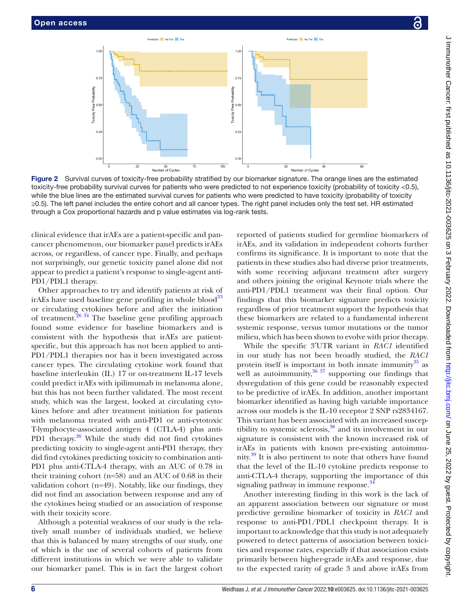

clinical evidence that irAEs are a patient-specific and pancancer phenomenon, our biomarker panel predicts irAEs across, or regardless, of cancer type. Finally, and perhaps not surprisingly, our genetic toxicity panel alone did not appear to predict a patient's response to single-agent anti-PD1/PDL1 therapy.

Other approaches to try and identify patients at risk of irAEs have used baseline gene profiling in whole blood<sup>33</sup> or circulating cytokines before and after the initiation of treatment. $26 \frac{34}{1}$  The baseline gene profiling approach found some evidence for baseline biomarkers and is consistent with the hypothesis that irAEs are patientspecific, but this approach has not been applied to anti-PD1/PDL1 therapies nor has it been investigated across cancer types. The circulating cytokine work found that baseline interleukin (IL) 17 or on-treatment IL-17 levels could predict irAEs with ipilimumab in melanoma alone, but this has not been further validated. The most recent study, which was the largest, looked at circulating cytokines before and after treatment initiation for patients with melanoma treated with anti-PD1 or anti-cytotoxic T-lymphocyte-associated antigen 4 (CTLA-4) plus anti-PD1 therapy.<sup>[26](#page-7-4)</sup> While the study did not find cytokines predicting toxicity to single-agent anti-PD1 therapy, they did find cytokines predicting toxicity to combination anti-PD1 plus anti-CTLA-4 therapy, with an AUC of 0.78 in their training cohort (n=58) and an AUC of 0.68 in their validation cohort (n=49). Notably, like our findings, they did not find an association between response and any of the cytokines being studied or an association of response with their toxicity score.

Although a potential weakness of our study is the relatively small number of individuals studied, we believe that this is balanced by many strengths of our study, one of which is the use of several cohorts of patients from different institutions in which we were able to validate our biomarker panel. This is in fact the largest cohort

<span id="page-5-0"></span>reported of patients studied for germline biomarkers of irAEs, and its validation in independent cohorts further confirms its significance. It is important to note that the patients in these studies also had diverse prior treatments, with some receiving adjuvant treatment after surgery and others joining the original Keynote trials where the anti-PD1/PDL1 treatment was their final option. Our findings that this biomarker signature predicts toxicity regardless of prior treatment support the hypothesis that these biomarkers are related to a fundamental inherent systemic response, versus tumor mutations or the tumor milieu, which has been shown to evolve with prior therapy.

While the specific 3′UTR variant in *RAC1* identified in our study has not been broadly studied, the *RAC1* protein itself is important in both innate immunity $^{35}$  $^{35}$  $^{35}$  as well as autoimmunity,  $36 \frac{37}{7}$  supporting our findings that dysregulation of this gene could be reasonably expected to be predictive of irAEs. In addition, another important biomarker identified as having high variable importance across our models is the IL-10 receptor 2 SNP rs2834167. This variant has been associated with an increased susceptibility to systemic sclerosis, $38$  and its involvement in our signature is consistent with the known increased risk of irAEs in patients with known pre-existing autoimmunity.<sup>39</sup> It is also pertinent to note that others have found that the level of the IL-10 cytokine predicts response to anti-CTLA-4 therapy, supporting the importance of this signaling pathway in immune response.<sup>34</sup>

Another interesting finding in this work is the lack of an apparent association between our signature or most predictive germline biomarker of toxicity in *RAC1* and response to anti-PD1/PDL1 checkpoint therapy. It is important to acknowledge that this study is not adequately powered to detect patterns of association between toxicities and response rates, especially if that association exists primarily between higher-grade irAEs and response, due to the expected rarity of grade 3 and above irAEs from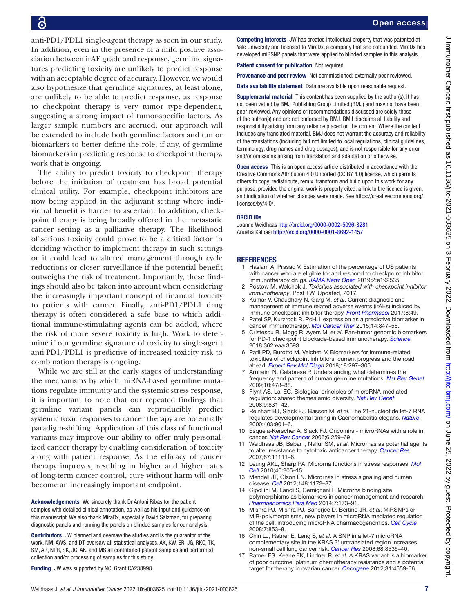**P** 

anti-PD1/PDL1 single-agent therapy as seen in our study. In addition, even in the presence of a mild positive association between irAE grade and response, germline signatures predicting toxicity are unlikely to predict response with an acceptable degree of accuracy. However, we would also hypothesize that germline signatures, at least alone, are unlikely to be able to predict response, as response to checkpoint therapy is very tumor type-dependent, suggesting a strong impact of tumor-specific factors. As larger sample numbers are accrued, our approach will be extended to include both germline factors and tumor biomarkers to better define the role, if any, of germline biomarkers in predicting response to checkpoint therapy, work that is ongoing.

The ability to predict toxicity to checkpoint therapy before the initiation of treatment has broad potential clinical utility. For example, checkpoint inhibitors are now being applied in the adjuvant setting where individual benefit is harder to ascertain. In addition, checkpoint therapy is being broadly offered in the metastatic cancer setting as a palliative therapy. The likelihood of serious toxicity could prove to be a critical factor in deciding whether to implement therapy in such settings or it could lead to altered management through cycle reductions or closer surveillance if the potential benefit outweighs the risk of treatment. Importantly, these findings should also be taken into account when considering the increasingly important concept of financial toxicity to patients with cancer. Finally, anti-PD1/PDL1 drug therapy is often considered a safe base to which additional immune-stimulating agents can be added, where the risk of more severe toxicity is high. Work to determine if our germline signature of toxicity to single-agent anti-PD1/PDL1 is predictive of increased toxicity risk to combination therapy is ongoing.

While we are still at the early stages of understanding the mechanisms by which miRNA-based germline mutations regulate immunity and the systemic stress response, it is important to note that our repeated findings that germline variant panels can reproducibly predict systemic toxic responses to cancer therapy are potentially paradigm-shifting. Application of this class of functional variants may improve our ability to offer truly personalized cancer therapy by enabling consideration of toxicity along with patient response. As the efficacy of cancer therapy improves, resulting in higher and higher rates of long-term cancer control, cure without harm will only become an increasingly important endpoint.

Acknowledgements We sincerely thank Dr Antoni Ribas for the patient samples with detailed clinical annotation, as well as his input and guidance on this manuscript. We also thank MiraDx, especially David Salzman, for preparing diagnostic panels and running the panels on blinded samples for our analysis.

Contributors JW planned and oversaw the studies and is the guarantor of the work. NM, AWS, and DT oversaw all statistical analyses. AK, KW, ER, JG, RKC, TK, SM, AR, NPR, SK, JC, AK, and MS all contributed patient samples and performed collection and/or processing of samples for this study.

Funding JW was supported by NCI Grant CA238998.

Competing interests JW has created intellectual property that was patented at Yale University and licensed to MiraDx, a company that she cofounded. MiraDx has developed miRSNP panels that were applied to blinded samples in this analysis.

Patient consent for publication Not required.

Provenance and peer review Not commissioned; externally peer reviewed.

Data availability statement Data are available upon reasonable request.

**Supplemental material** This content has been supplied by the author(s). It has not been vetted by BMJ Publishing Group Limited (BMJ) and may not have been peer-reviewed. Any opinions or recommendations discussed are solely those of the author(s) and are not endorsed by BMJ. BMJ disclaims all liability and responsibility arising from any reliance placed on the content. Where the content includes any translated material, BMJ does not warrant the accuracy and reliability of the translations (including but not limited to local regulations, clinical guidelines, terminology, drug names and drug dosages), and is not responsible for any error and/or omissions arising from translation and adaptation or otherwise.

Open access This is an open access article distributed in accordance with the Creative Commons Attribution 4.0 Unported (CC BY 4.0) license, which permits others to copy, redistribute, remix, transform and build upon this work for any purpose, provided the original work is properly cited, a link to the licence is given, and indication of whether changes were made. See [https://creativecommons.org/](https://creativecommons.org/licenses/by/4.0/) [licenses/by/4.0/](https://creativecommons.org/licenses/by/4.0/).

#### ORCID iDs

Joanne Weidhaas <http://orcid.org/0000-0002-5096-3281> Anusha Kalbasi <http://orcid.org/0000-0001-8692-1457>

#### <span id="page-6-0"></span>**REFERENCES**

- 1 Haslam A, Prasad V. Estimation of the percentage of US patients with cancer who are eligible for and respond to checkpoint inhibitor immunotherapy drugs. *[JAMA Netw Open](http://dx.doi.org/10.1001/jamanetworkopen.2019.2535)* 2019;2:e192535.
- <span id="page-6-1"></span>2 Postow M, Wolchok J. *Toxicities associated with checkpoint inhibitor immunotherapy*. Post TW. Updated, 2017.
- 3 Kumar V, Chaudhary N, Garg M, *et al*. Current diagnosis and management of immune related adverse events (irAEs) induced by immune checkpoint inhibitor therapy. *[Front Pharmacol](http://dx.doi.org/10.3389/fphar.2017.00049)* 2017;8:49.
- <span id="page-6-2"></span>4 Patel SP, Kurzrock R. Pd-L1 expression as a predictive biomarker in cancer immunotherapy. *[Mol Cancer Ther](http://dx.doi.org/10.1158/1535-7163.MCT-14-0983)* 2015;14:847–56.
- <span id="page-6-3"></span>5 Cristescu R, Mogg R, Ayers M, *et al*. Pan-tumor genomic biomarkers for PD-1 checkpoint blockade-based immunotherapy. *[Science](http://dx.doi.org/10.1126/science.aar3593)* 2018;362:eaar3593.
- <span id="page-6-4"></span>6 Patil PD, Burotto M, Velcheti V. Biomarkers for immune-related toxicities of checkpoint inhibitors: current progress and the road ahead. *[Expert Rev Mol Diagn](http://dx.doi.org/10.1080/14737159.2018.1440209)* 2018;18:297–305.
- <span id="page-6-5"></span>Arnheim N, Calabrese P. Understanding what determines the frequency and pattern of human germline mutations. *[Nat Rev Genet](http://dx.doi.org/10.1038/nrg2529)* 2009;10:478–88.
- <span id="page-6-6"></span>Flynt AS, Lai EC. Biological principles of microRNA-mediated regulation: shared themes amid diversity. *[Nat Rev Genet](http://dx.doi.org/10.1038/nrg2455)* 2008;9:831–42.
- <span id="page-6-7"></span>9 Reinhart BJ, Slack FJ, Basson M, *et al*. The 21-nucleotide let-7 RNA regulates developmental timing in Caenorhabditis elegans. *[Nature](http://dx.doi.org/10.1038/35002607)* 2000;403:901–6.
- <span id="page-6-8"></span>10 Esquela-Kerscher A, Slack FJ. Oncomirs - microRNAs with a role in cancer. *[Nat Rev Cancer](http://dx.doi.org/10.1038/nrc1840)* 2006;6:259–69.
- <span id="page-6-9"></span>11 Weidhaas JB, Babar I, Nallur SM, *et al*. Micrornas as potential agents to alter resistance to cytotoxic anticancer therapy. *[Cancer Res](http://dx.doi.org/10.1158/0008-5472.CAN-07-2858)* 2007;67:11111–6.
- 12 Leung AKL, Sharp PA. Microrna functions in stress responses. *[Mol](http://dx.doi.org/10.1016/j.molcel.2010.09.027)  [Cell](http://dx.doi.org/10.1016/j.molcel.2010.09.027)* 2010;40:205–15.
- 13 Mendell JT, Olson EN. Micrornas in stress signaling and human disease. *[Cell](http://dx.doi.org/10.1016/j.cell.2012.02.005)* 2012;148:1172–87.
- <span id="page-6-10"></span>14 Cipollini M, Landi S, Gemignani F. Microrna binding site polymorphisms as biomarkers in cancer management and research. *[Pharmgenomics Pers Med](http://dx.doi.org/10.2147/PGPM.S61693)* 2014;7:173–91.
- 15 Mishra PJ, Mishra PJ, Banerjee D, Bertino JR, *et al*. MiRSNPs or MiR-polymorphisms, new players in microRNA mediated regulation of the cell: introducing microRNA pharmacogenomics. *[Cell Cycle](http://dx.doi.org/10.4161/cc.7.7.5666)* 2008;7:853–8.
- <span id="page-6-11"></span>16 Chin LJ, Ratner E, Leng S, *et al*. A SNP in a let-7 microRNA complementary site in the KRAS 3' untranslated region increases non-small cell lung cancer risk. *[Cancer Res](http://dx.doi.org/10.1158/0008-5472.CAN-08-2129)* 2008;68:8535–40.
- <span id="page-6-12"></span>17 Ratner ES, Keane FK, Lindner R, *et al*. A KRAS variant is a biomarker of poor outcome, platinum chemotherapy resistance and a potential target for therapy in ovarian cancer. *[Oncogene](http://dx.doi.org/10.1038/onc.2011.539)* 2012;31:4559-66.